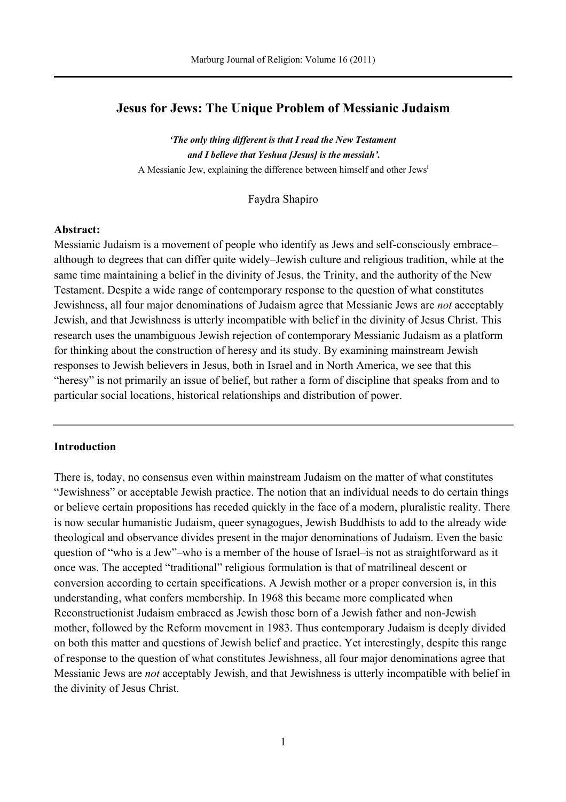# **Jesus for Jews: The Unique Problem of Messianic Judaism**

*'The only thing different is that I read the New Testament and I believe that Yeshua [Jesus] is the messiah'.* A Messianic Jew, explaining the difference between himself and other Jews<sup>i</sup>

Faydra Shapiro

### **Abstract:**

Messianic Judaism is a movement of people who identify as Jews and self-consciously embrace– although to degrees that can differ quite widely–Jewish culture and religious tradition, while at the same time maintaining a belief in the divinity of Jesus, the Trinity, and the authority of the New Testament. Despite a wide range of contemporary response to the question of what constitutes Jewishness, all four major denominations of Judaism agree that Messianic Jews are *not* acceptably Jewish, and that Jewishness is utterly incompatible with belief in the divinity of Jesus Christ. This research uses the unambiguous Jewish rejection of contemporary Messianic Judaism as a platform for thinking about the construction of heresy and its study. By examining mainstream Jewish responses to Jewish believers in Jesus, both in Israel and in North America, we see that this "heresy" is not primarily an issue of belief, but rather a form of discipline that speaks from and to particular social locations, historical relationships and distribution of power.

# **Introduction**

There is, today, no consensus even within mainstream Judaism on the matter of what constitutes "Jewishness" or acceptable Jewish practice. The notion that an individual needs to do certain things or believe certain propositions has receded quickly in the face of a modern, pluralistic reality. There is now secular humanistic Judaism, queer synagogues, Jewish Buddhists to add to the already wide theological and observance divides present in the major denominations of Judaism. Even the basic question of "who is a Jew"–who is a member of the house of Israel–is not as straightforward as it once was. The accepted "traditional" religious formulation is that of matrilineal descent or conversion according to certain specifications. A Jewish mother or a proper conversion is, in this understanding, what confers membership. In 1968 this became more complicated when Reconstructionist Judaism embraced as Jewish those born of a Jewish father and non-Jewish mother, followed by the Reform movement in 1983. Thus contemporary Judaism is deeply divided on both this matter and questions of Jewish belief and practice. Yet interestingly, despite this range of response to the question of what constitutes Jewishness, all four major denominations agree that Messianic Jews are *not* acceptably Jewish, and that Jewishness is utterly incompatible with belief in the divinity of Jesus Christ.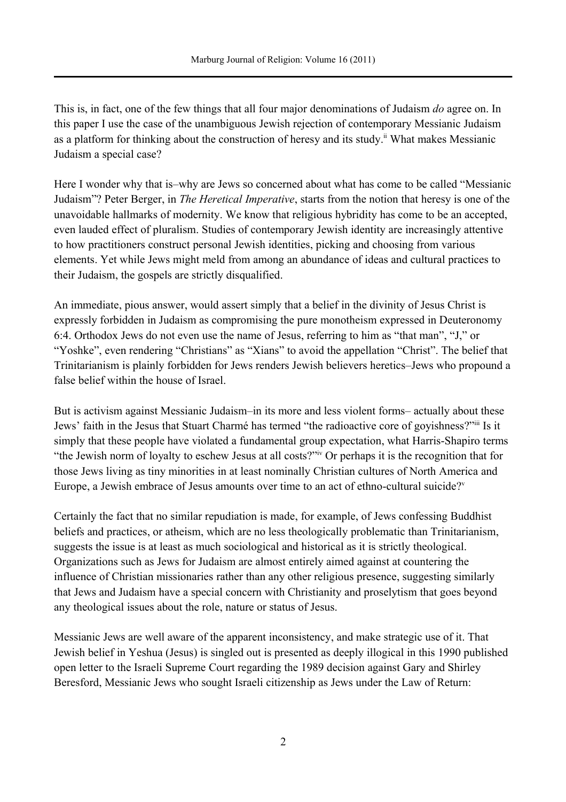This is, in fact, one of the few things that all four major denominations of Judaism *do* agree on. In this paper I use the case of the unambiguous Jewish rejection of contemporary Messianic Judaism as a platform for thinking about the construction of heresy and its study.<sup>ii</sup> What makes Messianic Judaism a special case?

Here I wonder why that is–why are Jews so concerned about what has come to be called "Messianic Judaism"? Peter Berger, in *The Heretical Imperative*, starts from the notion that heresy is one of the unavoidable hallmarks of modernity. We know that religious hybridity has come to be an accepted, even lauded effect of pluralism. Studies of contemporary Jewish identity are increasingly attentive to how practitioners construct personal Jewish identities, picking and choosing from various elements. Yet while Jews might meld from among an abundance of ideas and cultural practices to their Judaism, the gospels are strictly disqualified.

An immediate, pious answer, would assert simply that a belief in the divinity of Jesus Christ is expressly forbidden in Judaism as compromising the pure monotheism expressed in Deuteronomy 6:4. Orthodox Jews do not even use the name of Jesus, referring to him as "that man", "J," or "Yoshke", even rendering "Christians" as "Xians" to avoid the appellation "Christ". The belief that Trinitarianism is plainly forbidden for Jews renders Jewish believers heretics–Jews who propound a false belief within the house of Israel.

But is activism against Messianic Judaism–in its more and less violent forms– actually about these Jews' faith in the Jesus that Stuart Charmé has termed "the radioactive core of goyishness?"iii Is it simply that these people have violated a fundamental group expectation, what Harris-Shapiro terms "the Jewish norm of loyalty to eschew Jesus at all costs?"iv Or perhaps it is the recognition that for those Jews living as tiny minorities in at least nominally Christian cultures of North America and Europe, a Jewish embrace of Jesus amounts over time to an act of ethno-cultural suicide?<sup>v</sup>

Certainly the fact that no similar repudiation is made, for example, of Jews confessing Buddhist beliefs and practices, or atheism, which are no less theologically problematic than Trinitarianism, suggests the issue is at least as much sociological and historical as it is strictly theological. Organizations such as Jews for Judaism are almost entirely aimed against at countering the influence of Christian missionaries rather than any other religious presence, suggesting similarly that Jews and Judaism have a special concern with Christianity and proselytism that goes beyond any theological issues about the role, nature or status of Jesus.

Messianic Jews are well aware of the apparent inconsistency, and make strategic use of it. That Jewish belief in Yeshua (Jesus) is singled out is presented as deeply illogical in this 1990 published open letter to the Israeli Supreme Court regarding the 1989 decision against Gary and Shirley Beresford, Messianic Jews who sought Israeli citizenship as Jews under the Law of Return: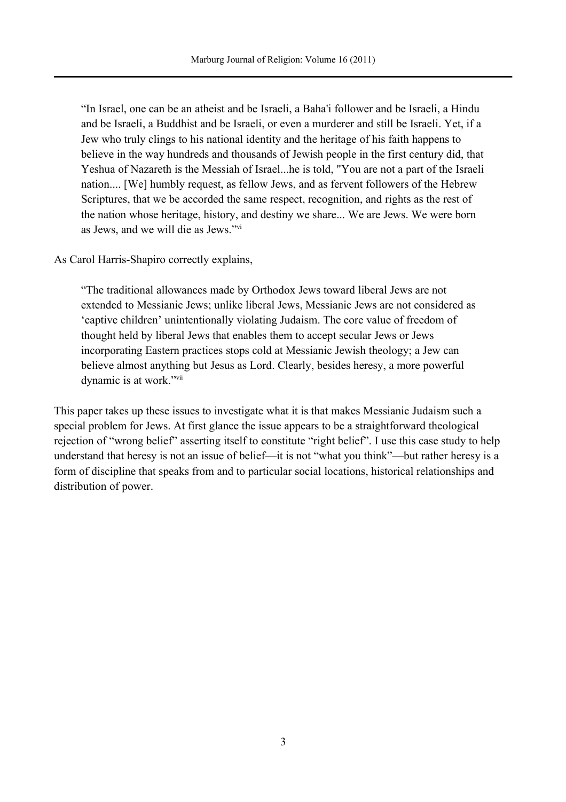"In Israel, one can be an atheist and be Israeli, a Baha'i follower and be Israeli, a Hindu and be Israeli, a Buddhist and be Israeli, or even a murderer and still be Israeli. Yet, if a Jew who truly clings to his national identity and the heritage of his faith happens to believe in the way hundreds and thousands of Jewish people in the first century did, that Yeshua of Nazareth is the Messiah of Israel...he is told, "You are not a part of the Israeli nation.... [We] humbly request, as fellow Jews, and as fervent followers of the Hebrew Scriptures, that we be accorded the same respect, recognition, and rights as the rest of the nation whose heritage, history, and destiny we share... We are Jews. We were born as Jews, and we will die as Jews."vi

As Carol Harris-Shapiro correctly explains,

"The traditional allowances made by Orthodox Jews toward liberal Jews are not extended to Messianic Jews; unlike liberal Jews, Messianic Jews are not considered as 'captive children' unintentionally violating Judaism. The core value of freedom of thought held by liberal Jews that enables them to accept secular Jews or Jews incorporating Eastern practices stops cold at Messianic Jewish theology; a Jew can believe almost anything but Jesus as Lord. Clearly, besides heresy, a more powerful dynamic is at work."vii

This paper takes up these issues to investigate what it is that makes Messianic Judaism such a special problem for Jews. At first glance the issue appears to be a straightforward theological rejection of "wrong belief" asserting itself to constitute "right belief". I use this case study to help understand that heresy is not an issue of belief—it is not "what you think"—but rather heresy is a form of discipline that speaks from and to particular social locations, historical relationships and distribution of power.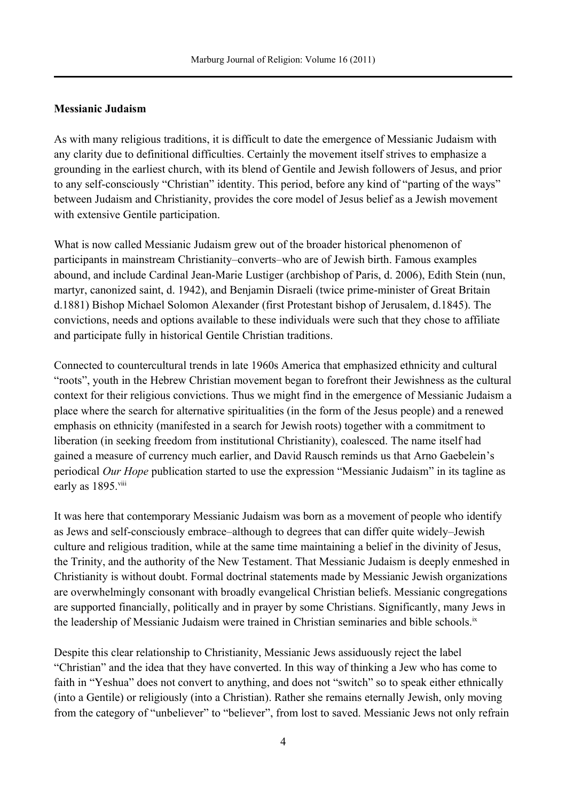# **Messianic Judaism**

As with many religious traditions, it is difficult to date the emergence of Messianic Judaism with any clarity due to definitional difficulties. Certainly the movement itself strives to emphasize a grounding in the earliest church, with its blend of Gentile and Jewish followers of Jesus, and prior to any self-consciously "Christian" identity. This period, before any kind of "parting of the ways" between Judaism and Christianity, provides the core model of Jesus belief as a Jewish movement with extensive Gentile participation.

What is now called Messianic Judaism grew out of the broader historical phenomenon of participants in mainstream Christianity–converts–who are of Jewish birth. Famous examples abound, and include Cardinal Jean-Marie Lustiger (archbishop of Paris, d. 2006), Edith Stein (nun, martyr, canonized saint, d. 1942), and Benjamin Disraeli (twice prime-minister of Great Britain d.1881) Bishop Michael Solomon Alexander (first Protestant bishop of Jerusalem, d.1845). The convictions, needs and options available to these individuals were such that they chose to affiliate and participate fully in historical Gentile Christian traditions.

Connected to countercultural trends in late 1960s America that emphasized ethnicity and cultural "roots", youth in the Hebrew Christian movement began to forefront their Jewishness as the cultural context for their religious convictions. Thus we might find in the emergence of Messianic Judaism a place where the search for alternative spiritualities (in the form of the Jesus people) and a renewed emphasis on ethnicity (manifested in a search for Jewish roots) together with a commitment to liberation (in seeking freedom from institutional Christianity), coalesced. The name itself had gained a measure of currency much earlier, and David Rausch reminds us that Arno Gaebelein's periodical *Our Hope* publication started to use the expression "Messianic Judaism" in its tagline as early as 1895.<sup>viii</sup>

It was here that contemporary Messianic Judaism was born as a movement of people who identify as Jews and self-consciously embrace–although to degrees that can differ quite widely–Jewish culture and religious tradition, while at the same time maintaining a belief in the divinity of Jesus, the Trinity, and the authority of the New Testament. That Messianic Judaism is deeply enmeshed in Christianity is without doubt. Formal doctrinal statements made by Messianic Jewish organizations are overwhelmingly consonant with broadly evangelical Christian beliefs. Messianic congregations are supported financially, politically and in prayer by some Christians. Significantly, many Jews in the leadership of Messianic Judaism were trained in Christian seminaries and bible schools.<sup>ix</sup>

Despite this clear relationship to Christianity, Messianic Jews assiduously reject the label "Christian" and the idea that they have converted. In this way of thinking a Jew who has come to faith in "Yeshua" does not convert to anything, and does not "switch" so to speak either ethnically (into a Gentile) or religiously (into a Christian). Rather she remains eternally Jewish, only moving from the category of "unbeliever" to "believer", from lost to saved. Messianic Jews not only refrain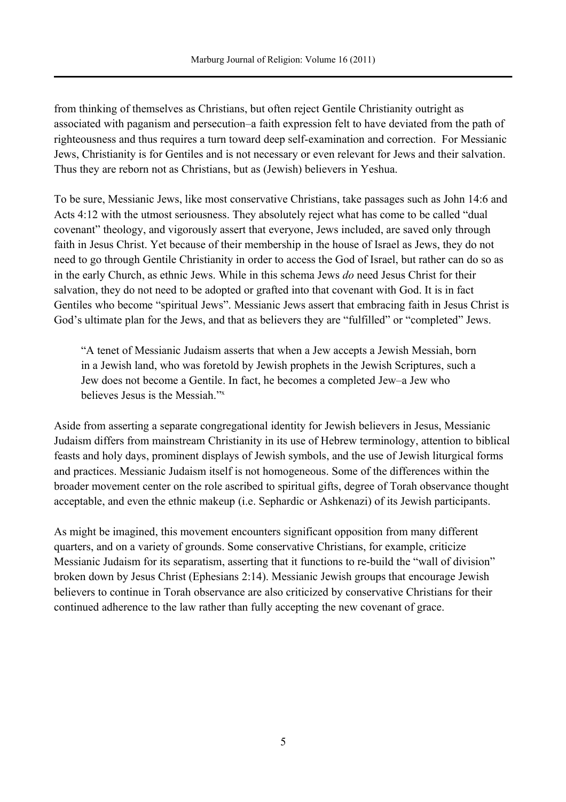from thinking of themselves as Christians, but often reject Gentile Christianity outright as associated with paganism and persecution–a faith expression felt to have deviated from the path of righteousness and thus requires a turn toward deep self-examination and correction. For Messianic Jews, Christianity is for Gentiles and is not necessary or even relevant for Jews and their salvation. Thus they are reborn not as Christians, but as (Jewish) believers in Yeshua.

To be sure, Messianic Jews, like most conservative Christians, take passages such as John 14:6 and Acts 4:12 with the utmost seriousness. They absolutely reject what has come to be called "dual covenant" theology, and vigorously assert that everyone, Jews included, are saved only through faith in Jesus Christ. Yet because of their membership in the house of Israel as Jews, they do not need to go through Gentile Christianity in order to access the God of Israel, but rather can do so as in the early Church, as ethnic Jews. While in this schema Jews *do* need Jesus Christ for their salvation, they do not need to be adopted or grafted into that covenant with God. It is in fact Gentiles who become "spiritual Jews". Messianic Jews assert that embracing faith in Jesus Christ is God's ultimate plan for the Jews, and that as believers they are "fulfilled" or "completed" Jews.

"A tenet of Messianic Judaism asserts that when a Jew accepts a Jewish Messiah, born in a Jewish land, who was foretold by Jewish prophets in the Jewish Scriptures, such a Jew does not become a Gentile. In fact, he becomes a completed Jew–a Jew who believes Jesus is the Messiah."<sup>x</sup>

Aside from asserting a separate congregational identity for Jewish believers in Jesus, Messianic Judaism differs from mainstream Christianity in its use of Hebrew terminology, attention to biblical feasts and holy days, prominent displays of Jewish symbols, and the use of Jewish liturgical forms and practices. Messianic Judaism itself is not homogeneous. Some of the differences within the broader movement center on the role ascribed to spiritual gifts, degree of Torah observance thought acceptable, and even the ethnic makeup (i.e. Sephardic or Ashkenazi) of its Jewish participants.

As might be imagined, this movement encounters significant opposition from many different quarters, and on a variety of grounds. Some conservative Christians, for example, criticize Messianic Judaism for its separatism, asserting that it functions to re-build the "wall of division" broken down by Jesus Christ (Ephesians 2:14). Messianic Jewish groups that encourage Jewish believers to continue in Torah observance are also criticized by conservative Christians for their continued adherence to the law rather than fully accepting the new covenant of grace.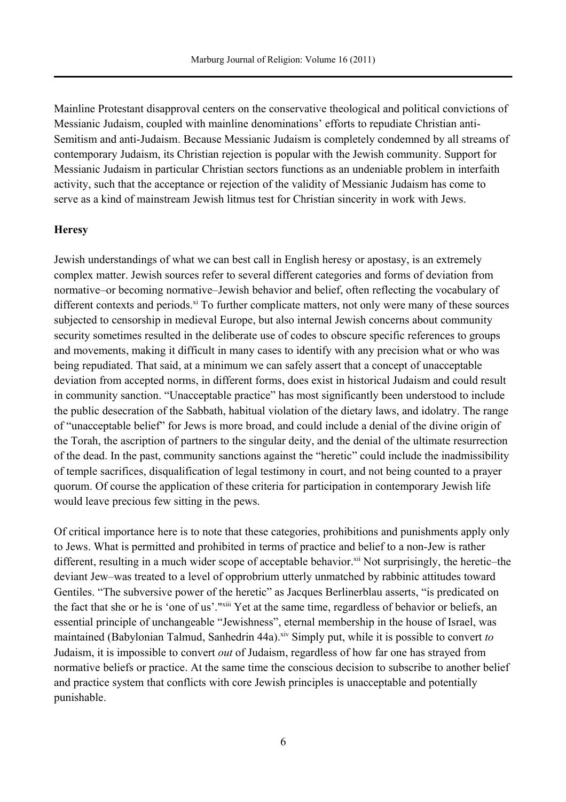Mainline Protestant disapproval centers on the conservative theological and political convictions of Messianic Judaism, coupled with mainline denominations' efforts to repudiate Christian anti-Semitism and anti-Judaism. Because Messianic Judaism is completely condemned by all streams of contemporary Judaism, its Christian rejection is popular with the Jewish community. Support for Messianic Judaism in particular Christian sectors functions as an undeniable problem in interfaith activity, such that the acceptance or rejection of the validity of Messianic Judaism has come to serve as a kind of mainstream Jewish litmus test for Christian sincerity in work with Jews.

### **Heresy**

Jewish understandings of what we can best call in English heresy or apostasy, is an extremely complex matter. Jewish sources refer to several different categories and forms of deviation from normative–or becoming normative–Jewish behavior and belief, often reflecting the vocabulary of different contexts and periods.<sup>xi</sup> To further complicate matters, not only were many of these sources subjected to censorship in medieval Europe, but also internal Jewish concerns about community security sometimes resulted in the deliberate use of codes to obscure specific references to groups and movements, making it difficult in many cases to identify with any precision what or who was being repudiated. That said, at a minimum we can safely assert that a concept of unacceptable deviation from accepted norms, in different forms, does exist in historical Judaism and could result in community sanction. "Unacceptable practice" has most significantly been understood to include the public desecration of the Sabbath, habitual violation of the dietary laws, and idolatry. The range of "unacceptable belief" for Jews is more broad, and could include a denial of the divine origin of the Torah, the ascription of partners to the singular deity, and the denial of the ultimate resurrection of the dead. In the past, community sanctions against the "heretic" could include the inadmissibility of temple sacrifices, disqualification of legal testimony in court, and not being counted to a prayer quorum. Of course the application of these criteria for participation in contemporary Jewish life would leave precious few sitting in the pews.

Of critical importance here is to note that these categories, prohibitions and punishments apply only to Jews. What is permitted and prohibited in terms of practice and belief to a non-Jew is rather different, resulting in a much wider scope of acceptable behavior.<sup>xii</sup> Not surprisingly, the heretic–the deviant Jew–was treated to a level of opprobrium utterly unmatched by rabbinic attitudes toward Gentiles. "The subversive power of the heretic" as Jacques Berlinerblau asserts, "is predicated on the fact that she or he is 'one of us'."<sup>xiii</sup> Yet at the same time, regardless of behavior or beliefs, an essential principle of unchangeable "Jewishness", eternal membership in the house of Israel, was maintained (Babylonian Talmud, Sanhedrin 44a).<sup>xiv</sup> Simply put, while it is possible to convert *to* Judaism, it is impossible to convert *out* of Judaism, regardless of how far one has strayed from normative beliefs or practice. At the same time the conscious decision to subscribe to another belief and practice system that conflicts with core Jewish principles is unacceptable and potentially punishable.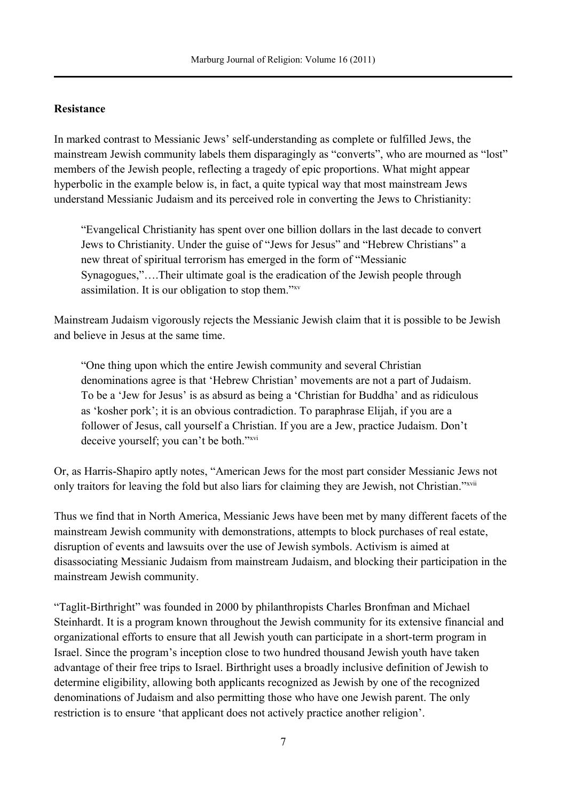# **Resistance**

In marked contrast to Messianic Jews' self-understanding as complete or fulfilled Jews, the mainstream Jewish community labels them disparagingly as "converts", who are mourned as "lost" members of the Jewish people, reflecting a tragedy of epic proportions. What might appear hyperbolic in the example below is, in fact, a quite typical way that most mainstream Jews understand Messianic Judaism and its perceived role in converting the Jews to Christianity:

"Evangelical Christianity has spent over one billion dollars in the last decade to convert Jews to Christianity. Under the guise of "Jews for Jesus" and "Hebrew Christians" a new threat of spiritual terrorism has emerged in the form of "Messianic Synagogues,"….Their ultimate goal is the eradication of the Jewish people through assimilation. It is our obligation to stop them."xv

Mainstream Judaism vigorously rejects the Messianic Jewish claim that it is possible to be Jewish and believe in Jesus at the same time.

"One thing upon which the entire Jewish community and several Christian denominations agree is that 'Hebrew Christian' movements are not a part of Judaism. To be a 'Jew for Jesus' is as absurd as being a 'Christian for Buddha' and as ridiculous as 'kosher pork'; it is an obvious contradiction. To paraphrase Elijah, if you are a follower of Jesus, call yourself a Christian. If you are a Jew, practice Judaism. Don't deceive yourself; you can't be both."<sup>xvi</sup>

Or, as Harris-Shapiro aptly notes, "American Jews for the most part consider Messianic Jews not only traitors for leaving the fold but also liars for claiming they are Jewish, not Christian."xvii

Thus we find that in North America, Messianic Jews have been met by many different facets of the mainstream Jewish community with demonstrations, attempts to block purchases of real estate, disruption of events and lawsuits over the use of Jewish symbols. Activism is aimed at disassociating Messianic Judaism from mainstream Judaism, and blocking their participation in the mainstream Jewish community.

"Taglit-Birthright" was founded in 2000 by philanthropists Charles Bronfman and Michael Steinhardt. It is a program known throughout the Jewish community for its extensive financial and organizational efforts to ensure that all Jewish youth can participate in a short-term program in Israel. Since the program's inception close to two hundred thousand Jewish youth have taken advantage of their free trips to Israel. Birthright uses a broadly inclusive definition of Jewish to determine eligibility, allowing both applicants recognized as Jewish by one of the recognized denominations of Judaism and also permitting those who have one Jewish parent. The only restriction is to ensure 'that applicant does not actively practice another religion'.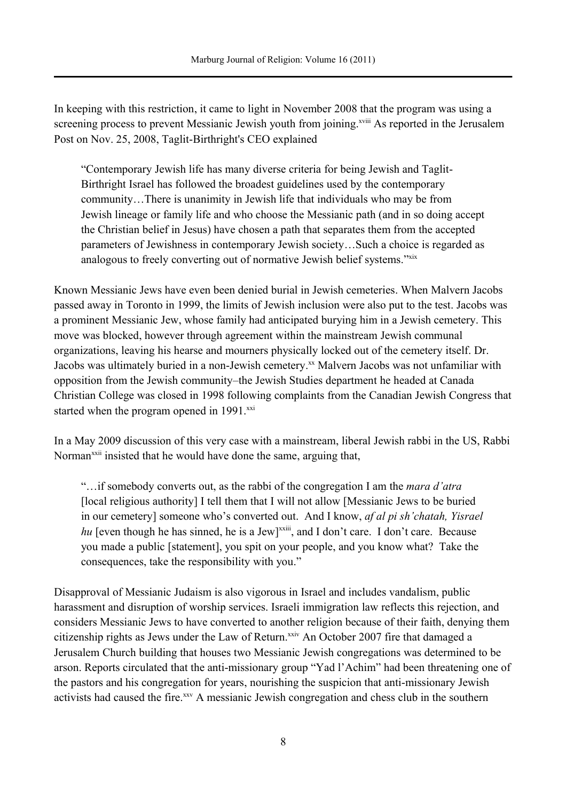In keeping with this restriction, it came to light in November 2008 that the program was using a screening process to prevent Messianic Jewish youth from joining.<sup>xviii</sup> As reported in the Jerusalem Post on Nov. 25, 2008, Taglit-Birthright's CEO explained

"Contemporary Jewish life has many diverse criteria for being Jewish and Taglit-Birthright Israel has followed the broadest guidelines used by the contemporary community…There is unanimity in Jewish life that individuals who may be from Jewish lineage or family life and who choose the Messianic path (and in so doing accept the Christian belief in Jesus) have chosen a path that separates them from the accepted parameters of Jewishness in contemporary Jewish society…Such a choice is regarded as analogous to freely converting out of normative Jewish belief systems."xix

Known Messianic Jews have even been denied burial in Jewish cemeteries. When Malvern Jacobs passed away in Toronto in 1999, the limits of Jewish inclusion were also put to the test. Jacobs was a prominent Messianic Jew, whose family had anticipated burying him in a Jewish cemetery. This move was blocked, however through agreement within the mainstream Jewish communal organizations, leaving his hearse and mourners physically locked out of the cemetery itself. Dr. Jacobs was ultimately buried in a non-Jewish cemetery.<sup>xx</sup> Malvern Jacobs was not unfamiliar with opposition from the Jewish community–the Jewish Studies department he headed at Canada Christian College was closed in 1998 following complaints from the Canadian Jewish Congress that started when the program opened in 1991.<sup>xxi</sup>

In a May 2009 discussion of this very case with a mainstream, liberal Jewish rabbi in the US, Rabbi Norman<sup>xxii</sup> insisted that he would have done the same, arguing that,

"…if somebody converts out, as the rabbi of the congregation I am the *mara d'atra* [local religious authority] I tell them that I will not allow [Messianic Jews to be buried in our cemetery] someone who's converted out. And I know, *af al pi sh'chatah, Yisrael* hu [even though he has sinned, he is a Jew]<sup>xxiii</sup>, and I don't care. I don't care. Because you made a public [statement], you spit on your people, and you know what? Take the consequences, take the responsibility with you."

Disapproval of Messianic Judaism is also vigorous in Israel and includes vandalism, public harassment and disruption of worship services. Israeli immigration law reflects this rejection, and considers Messianic Jews to have converted to another religion because of their faith, denying them citizenship rights as Jews under the Law of Return.<sup>xxiv</sup> An October 2007 fire that damaged a Jerusalem Church building that houses two Messianic Jewish congregations was determined to be arson. Reports circulated that the anti-missionary group "Yad l'Achim" had been threatening one of the pastors and his congregation for years, nourishing the suspicion that anti-missionary Jewish activists had caused the fire.<sup>xxv</sup> A messianic Jewish congregation and chess club in the southern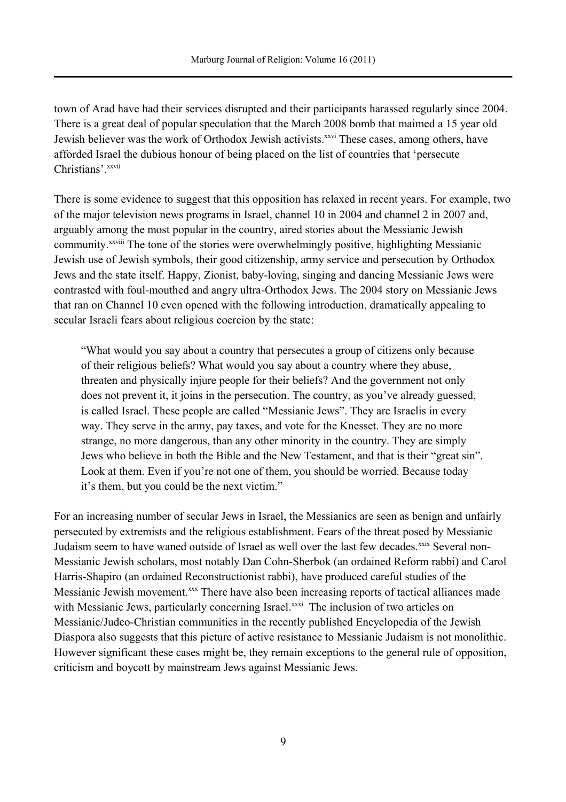town of Arad have had their services disrupted and their participants harassed regularly since 2004. There is a great deal of popular speculation that the March 2008 bomb that maimed a 15 year old Jewish believer was the work of Orthodox Jewish activists.<sup>xxvi</sup> These cases, among others, have afforded Israel the dubious honour of being placed on the list of countries that 'persecute Christians' xxvii

There is some evidence to suggest that this opposition has relaxed in recent years. For example, two of the major television news programs in Israel, channel 10 in 2004 and channel 2 in 2007 and, arguably among the most popular in the country, aired stories about the Messianic Jewish community.<sup>xxviii</sup> The tone of the stories were overwhelmingly positive, highlighting Messianic Jewish use of Jewish symbols, their good citizenship, army service and persecution by Orthodox Jews and the state itself. Happy, Zionist, baby-loving, singing and dancing Messianic Jews were contrasted with foul-mouthed and angry ultra-Orthodox Jews. The 2004 story on Messianic Jews that ran on Channel 10 even opened with the following introduction, dramatically appealing to secular Israeli fears about religious coercion by the state:

"What would you say about a country that persecutes a group of citizens only because of their religious beliefs? What would you say about a country where they abuse, threaten and physically injure people for their beliefs? And the government not only does not prevent it, it joins in the persecution. The country, as you've already guessed, is called Israel. These people are called "Messianic Jews". They are Israelis in every way. They serve in the army, pay taxes, and vote for the Knesset. They are no more strange, no more dangerous, than any other minority in the country. They are simply Jews who believe in both the Bible and the New Testament, and that is their "great sin". Look at them. Even if you're not one of them, you should be worried. Because today it's them, but you could be the next victim."

For an increasing number of secular Jews in Israel, the Messianics are seen as benign and unfairly persecuted by extremists and the religious establishment. Fears of the threat posed by Messianic Judaism seem to have waned outside of Israel as well over the last few decades.<sup>xxix</sup> Several non-Messianic Jewish scholars, most notably Dan Cohn-Sherbok (an ordained Reform rabbi) and Carol Harris-Shapiro (an ordained Reconstructionist rabbi), have produced careful studies of the Messianic Jewish movement.<sup>xxx</sup> There have also been increasing reports of tactical alliances made with Messianic Jews, particularly concerning Israel.<sup>xxxi</sup> The inclusion of two articles on Messianic/Judeo-Christian communities in the recently published Encyclopedia of the Jewish Diaspora also suggests that this picture of active resistance to Messianic Judaism is not monolithic. However significant these cases might be, they remain exceptions to the general rule of opposition, criticism and boycott by mainstream Jews against Messianic Jews.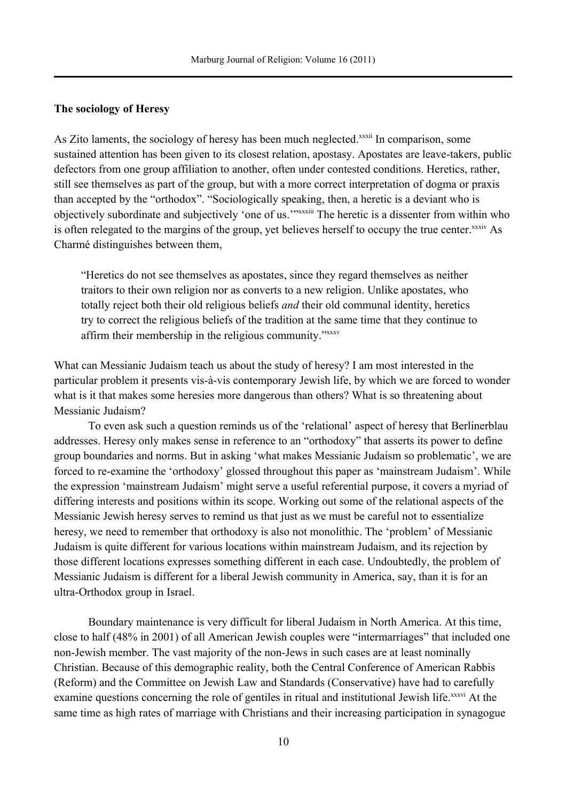### **The sociology of Heresy**

As Zito laments, the sociology of heresy has been much neglected.<sup>xxxii</sup> In comparison, some sustained attention has been given to its closest relation, apostasy. Apostates are leave-takers, public defectors from one group affiliation to another, often under contested conditions. Heretics, rather, still see themselves as part of the group, but with a more correct interpretation of dogma or praxis than accepted by the "orthodox". "Sociologically speaking, then, a heretic is a deviant who is objectively subordinate and subjectively 'one of us.'"xxxiii The heretic is a dissenter from within who is often relegated to the margins of the group, yet believes herself to occupy the true center. XXXIV As Charmé distinguishes between them,

"Heretics do not see themselves as apostates, since they regard themselves as neither traitors to their own religion nor as converts to a new religion. Unlike apostates, who totally reject both their old religious beliefs *and* their old communal identity, heretics try to correct the religious beliefs of the tradition at the same time that they continue to affirm their membership in the religious community."xxxv

What can Messianic Judaism teach us about the study of heresy? I am most interested in the particular problem it presents vis-à-vis contemporary Jewish life, by which we are forced to wonder what is it that makes some heresies more dangerous than others? What is so threatening about Messianic Judaism?

To even ask such a question reminds us of the 'relational' aspect of heresy that Berlinerblau addresses. Heresy only makes sense in reference to an "orthodoxy" that asserts its power to define group boundaries and norms. But in asking 'what makes Messianic Judaism so problematic', we are forced to re-examine the 'orthodoxy' glossed throughout this paper as 'mainstream Judaism'. While the expression 'mainstream Judaism' might serve a useful referential purpose, it covers a myriad of differing interests and positions within its scope. Working out some of the relational aspects of the Messianic Jewish heresy serves to remind us that just as we must be careful not to essentialize heresy, we need to remember that orthodoxy is also not monolithic. The 'problem' of Messianic Judaism is quite different for various locations within mainstream Judaism, and its rejection by those different locations expresses something different in each case. Undoubtedly, the problem of Messianic Judaism is different for a liberal Jewish community in America, say, than it is for an ultra-Orthodox group in Israel.

Boundary maintenance is very difficult for liberal Judaism in North America. At this time, close to half (48% in 2001) of all American Jewish couples were "intermarriages" that included one non-Jewish member. The vast majority of the non-Jews in such cases are at least nominally Christian. Because of this demographic reality, both the Central Conference of American Rabbis (Reform) and the Committee on Jewish Law and Standards (Conservative) have had to carefully examine questions concerning the role of gentiles in ritual and institutional Jewish life.<sup>xxxvi</sup> At the same time as high rates of marriage with Christians and their increasing participation in synagogue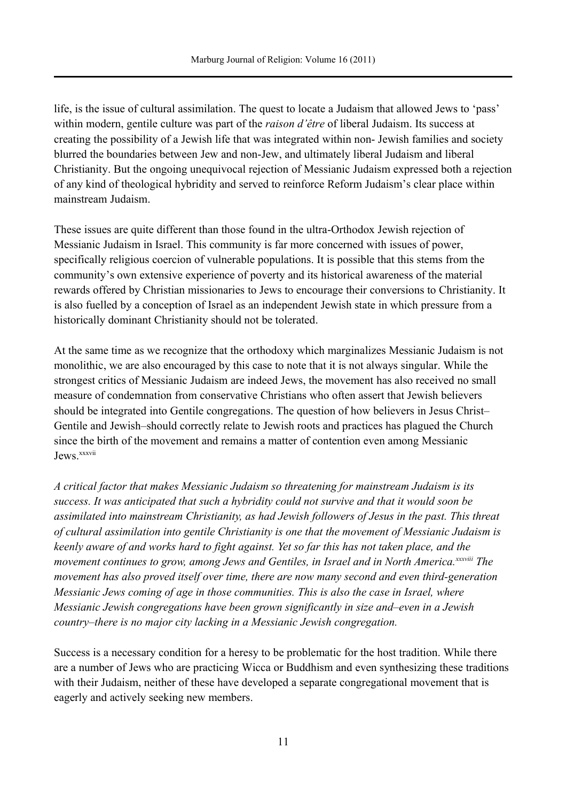life, is the issue of cultural assimilation. The quest to locate a Judaism that allowed Jews to 'pass' within modern, gentile culture was part of the *raison d'être* of liberal Judaism. Its success at creating the possibility of a Jewish life that was integrated within non- Jewish families and society blurred the boundaries between Jew and non-Jew, and ultimately liberal Judaism and liberal Christianity. But the ongoing unequivocal rejection of Messianic Judaism expressed both a rejection of any kind of theological hybridity and served to reinforce Reform Judaism's clear place within mainstream Judaism.

These issues are quite different than those found in the ultra-Orthodox Jewish rejection of Messianic Judaism in Israel. This community is far more concerned with issues of power, specifically religious coercion of vulnerable populations. It is possible that this stems from the community's own extensive experience of poverty and its historical awareness of the material rewards offered by Christian missionaries to Jews to encourage their conversions to Christianity. It is also fuelled by a conception of Israel as an independent Jewish state in which pressure from a historically dominant Christianity should not be tolerated.

At the same time as we recognize that the orthodoxy which marginalizes Messianic Judaism is not monolithic, we are also encouraged by this case to note that it is not always singular. While the strongest critics of Messianic Judaism are indeed Jews, the movement has also received no small measure of condemnation from conservative Christians who often assert that Jewish believers should be integrated into Gentile congregations. The question of how believers in Jesus Christ– Gentile and Jewish–should correctly relate to Jewish roots and practices has plagued the Church since the birth of the movement and remains a matter of contention even among Messianic Jews. xxxvii

*A critical factor that makes Messianic Judaism so threatening for mainstream Judaism is its success. It was anticipated that such a hybridity could not survive and that it would soon be assimilated into mainstream Christianity, as had Jewish followers of Jesus in the past. This threat of cultural assimilation into gentile Christianity is one that the movement of Messianic Judaism is keenly aware of and works hard to fight against. Yet so far this has not taken place, and the movement continues to grow, among Jews and Gentiles, in Israel and in North America.xxxviii The movement has also proved itself over time, there are now many second and even third-generation Messianic Jews coming of age in those communities. This is also the case in Israel, where Messianic Jewish congregations have been grown significantly in size and–even in a Jewish country–there is no major city lacking in a Messianic Jewish congregation.* 

Success is a necessary condition for a heresy to be problematic for the host tradition. While there are a number of Jews who are practicing Wicca or Buddhism and even synthesizing these traditions with their Judaism, neither of these have developed a separate congregational movement that is eagerly and actively seeking new members.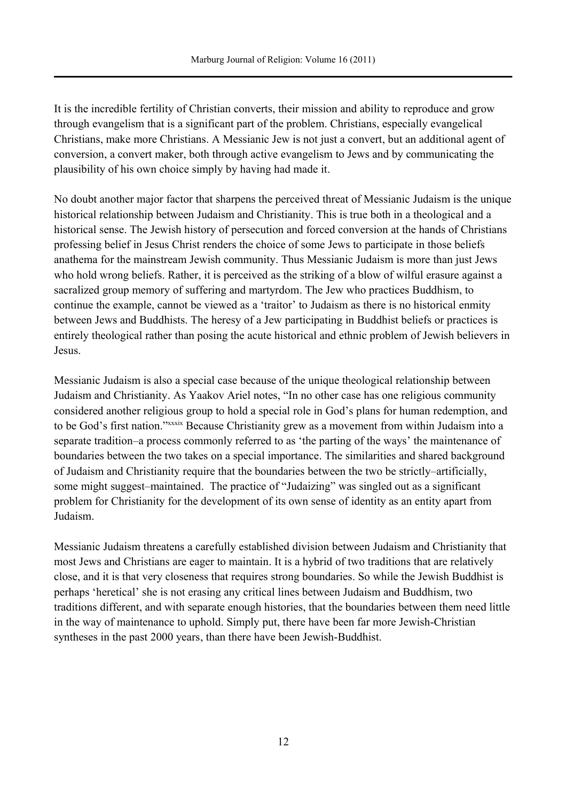It is the incredible fertility of Christian converts, their mission and ability to reproduce and grow through evangelism that is a significant part of the problem. Christians, especially evangelical Christians, make more Christians. A Messianic Jew is not just a convert, but an additional agent of conversion, a convert maker, both through active evangelism to Jews and by communicating the plausibility of his own choice simply by having had made it.

No doubt another major factor that sharpens the perceived threat of Messianic Judaism is the unique historical relationship between Judaism and Christianity. This is true both in a theological and a historical sense. The Jewish history of persecution and forced conversion at the hands of Christians professing belief in Jesus Christ renders the choice of some Jews to participate in those beliefs anathema for the mainstream Jewish community. Thus Messianic Judaism is more than just Jews who hold wrong beliefs. Rather, it is perceived as the striking of a blow of wilful erasure against a sacralized group memory of suffering and martyrdom. The Jew who practices Buddhism, to continue the example, cannot be viewed as a 'traitor' to Judaism as there is no historical enmity between Jews and Buddhists. The heresy of a Jew participating in Buddhist beliefs or practices is entirely theological rather than posing the acute historical and ethnic problem of Jewish believers in Jesus.

Messianic Judaism is also a special case because of the unique theological relationship between Judaism and Christianity. As Yaakov Ariel notes, "In no other case has one religious community considered another religious group to hold a special role in God's plans for human redemption, and to be God's first nation."xxxix Because Christianity grew as a movement from within Judaism into a separate tradition–a process commonly referred to as 'the parting of the ways' the maintenance of boundaries between the two takes on a special importance. The similarities and shared background of Judaism and Christianity require that the boundaries between the two be strictly–artificially, some might suggest–maintained. The practice of "Judaizing" was singled out as a significant problem for Christianity for the development of its own sense of identity as an entity apart from Judaism.

Messianic Judaism threatens a carefully established division between Judaism and Christianity that most Jews and Christians are eager to maintain. It is a hybrid of two traditions that are relatively close, and it is that very closeness that requires strong boundaries. So while the Jewish Buddhist is perhaps 'heretical' she is not erasing any critical lines between Judaism and Buddhism, two traditions different, and with separate enough histories, that the boundaries between them need little in the way of maintenance to uphold. Simply put, there have been far more Jewish-Christian syntheses in the past 2000 years, than there have been Jewish-Buddhist.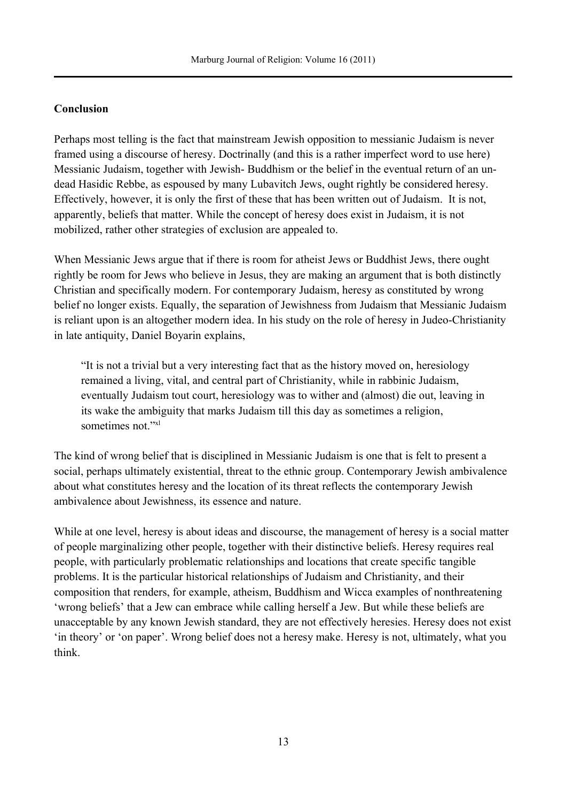# **Conclusion**

Perhaps most telling is the fact that mainstream Jewish opposition to messianic Judaism is never framed using a discourse of heresy. Doctrinally (and this is a rather imperfect word to use here) Messianic Judaism, together with Jewish- Buddhism or the belief in the eventual return of an undead Hasidic Rebbe, as espoused by many Lubavitch Jews, ought rightly be considered heresy. Effectively, however, it is only the first of these that has been written out of Judaism. It is not, apparently, beliefs that matter. While the concept of heresy does exist in Judaism, it is not mobilized, rather other strategies of exclusion are appealed to.

When Messianic Jews argue that if there is room for atheist Jews or Buddhist Jews, there ought rightly be room for Jews who believe in Jesus, they are making an argument that is both distinctly Christian and specifically modern. For contemporary Judaism, heresy as constituted by wrong belief no longer exists. Equally, the separation of Jewishness from Judaism that Messianic Judaism is reliant upon is an altogether modern idea. In his study on the role of heresy in Judeo-Christianity in late antiquity, Daniel Boyarin explains,

"It is not a trivial but a very interesting fact that as the history moved on, heresiology remained a living, vital, and central part of Christianity, while in rabbinic Judaism, eventually Judaism tout court, heresiology was to wither and (almost) die out, leaving in its wake the ambiguity that marks Judaism till this day as sometimes a religion, sometimes not."xl

The kind of wrong belief that is disciplined in Messianic Judaism is one that is felt to present a social, perhaps ultimately existential, threat to the ethnic group. Contemporary Jewish ambivalence about what constitutes heresy and the location of its threat reflects the contemporary Jewish ambivalence about Jewishness, its essence and nature.

While at one level, heresy is about ideas and discourse, the management of heresy is a social matter of people marginalizing other people, together with their distinctive beliefs. Heresy requires real people, with particularly problematic relationships and locations that create specific tangible problems. It is the particular historical relationships of Judaism and Christianity, and their composition that renders, for example, atheism, Buddhism and Wicca examples of nonthreatening 'wrong beliefs' that a Jew can embrace while calling herself a Jew. But while these beliefs are unacceptable by any known Jewish standard, they are not effectively heresies. Heresy does not exist 'in theory' or 'on paper'. Wrong belief does not a heresy make. Heresy is not, ultimately, what you think.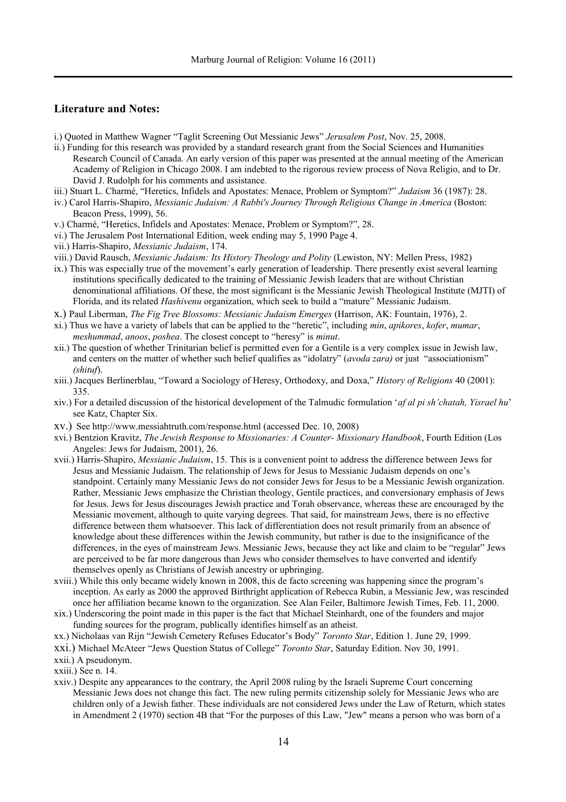### **Literature and Notes:**

- i.) Quoted in Matthew Wagner "Taglit Screening Out Messianic Jews" *Jerusalem Post*, Nov. 25, 2008.
- ii.) Funding for this research was provided by a standard research grant from the Social Sciences and Humanities Research Council of Canada. An early version of this paper was presented at the annual meeting of the American Academy of Religion in Chicago 2008. I am indebted to the rigorous review process of Nova Religio, and to Dr. David J. Rudolph for his comments and assistance.
- iii.) Stuart L. Charmé, "Heretics, Infidels and Apostates: Menace, Problem or Symptom?" *Judaism* 36 (1987): 28.
- iv.) Carol Harris-Shapiro, *Messianic Judaism: A Rabbi's Journey Through Religious Change in America* (Boston: Beacon Press, 1999), 56.
- v.) Charmé, "Heretics, Infidels and Apostates: Menace, Problem or Symptom?", 28.
- vi.) The Jerusalem Post International Edition, week ending may 5, 1990 Page 4.
- vii.) Harris-Shapiro, *Messianic Judaism*, 174.
- viii.) David Rausch, *Messianic Judaism: Its History Theology and Polity* (Lewiston, NY: Mellen Press, 1982)
- ix.) This was especially true of the movement's early generation of leadership. There presently exist several learning institutions specifically dedicated to the training of Messianic Jewish leaders that are without Christian denominational affiliations. Of these, the most significant is the Messianic Jewish Theological Institute (MJTI) of Florida, and its related *Hashivenu* organization, which seek to build a "mature" Messianic Judaism.
- x.) Paul Liberman, *The Fig Tree Blossoms: Messianic Judaism Emerges* (Harrison, AK: Fountain, 1976), 2.
- xi.) Thus we have a variety of labels that can be applied to the "heretic", including *min*, *apikores*, *kofer*, *mumar*, *meshummad*, *anoos*, *poshea*. The closest concept to "heresy" is *minut*.
- xii.) The question of whether Trinitarian belief is permitted even for a Gentile is a very complex issue in Jewish law, and centers on the matter of whether such belief qualifies as "idolatry" (*avoda zara)* or just "associationism" *(shituf*).
- xiii.) Jacques Berlinerblau, "Toward a Sociology of Heresy, Orthodoxy, and Doxa," *History of Religions* 40 (2001): 335.
- xiv.) For a detailed discussion of the historical development of the Talmudic formulation '*af al pi sh'chatah, Yisrael hu*' see Katz, Chapter Six.
- xv.) See http://www.messiahtruth.com/response.html (accessed Dec. 10, 2008)
- xvi.) Bentzion Kravitz, *The Jewish Response to Missionaries: A Counter- Missionary Handbook*, Fourth Edition (Los Angeles: Jews for Judaism, 2001), 26.
- xvii.) Harris-Shapiro, *Messianic Judaism*, 15. This is a convenient point to address the difference between Jews for Jesus and Messianic Judaism. The relationship of Jews for Jesus to Messianic Judaism depends on one's standpoint. Certainly many Messianic Jews do not consider Jews for Jesus to be a Messianic Jewish organization. Rather, Messianic Jews emphasize the Christian theology, Gentile practices, and conversionary emphasis of Jews for Jesus. Jews for Jesus discourages Jewish practice and Torah observance, whereas these are encouraged by the Messianic movement, although to quite varying degrees. That said, for mainstream Jews, there is no effective difference between them whatsoever. This lack of differentiation does not result primarily from an absence of knowledge about these differences within the Jewish community, but rather is due to the insignificance of the differences, in the eyes of mainstream Jews. Messianic Jews, because they act like and claim to be "regular" Jews are perceived to be far more dangerous than Jews who consider themselves to have converted and identify themselves openly as Christians of Jewish ancestry or upbringing.
- xviii.) While this only became widely known in 2008, this de facto screening was happening since the program's inception. As early as 2000 the approved Birthright application of Rebecca Rubin, a Messianic Jew, was rescinded once her affiliation became known to the organization. See Alan Feiler, Baltimore Jewish Times, Feb. 11, 2000.
- xix.) Underscoring the point made in this paper is the fact that Michael Steinhardt, one of the founders and major funding sources for the program, publically identifies himself as an atheist.
- xx.) Nicholaas van Rijn "Jewish Cemetery Refuses Educator's Body" *Toronto Star*, Edition 1. June 29, 1999.
- xxi.) Michael McAteer "Jews Question Status of College" *Toronto Star*, Saturday Edition. Nov 30, 1991.
- xxii.) A pseudonym.
- xxiii.) See n. 14.
- xxiv.) Despite any appearances to the contrary, the April 2008 ruling by the Israeli Supreme Court concerning Messianic Jews does not change this fact. The new ruling permits citizenship solely for Messianic Jews who are children only of a Jewish father. These individuals are not considered Jews under the Law of Return, which states in Amendment 2 (1970) section 4B that "For the purposes of this Law, "Jew" means a person who was born of a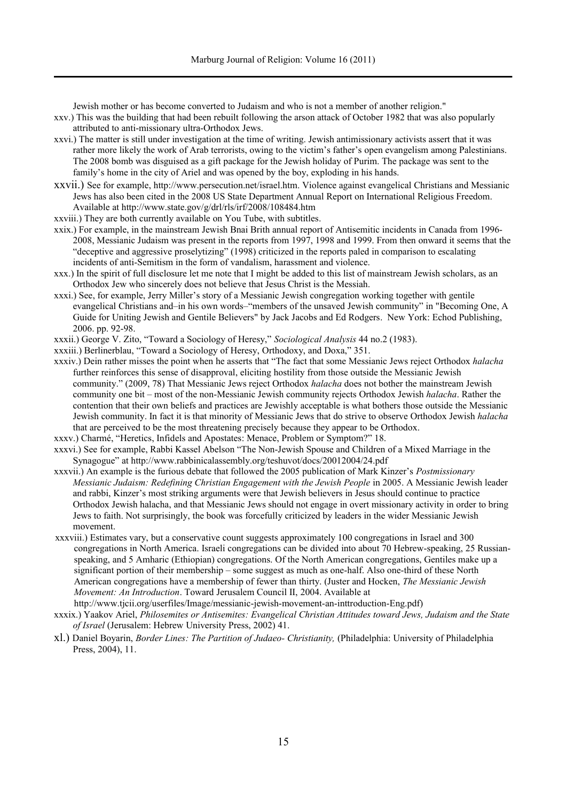Jewish mother or has become converted to Judaism and who is not a member of another religion."

- xxv.) This was the building that had been rebuilt following the arson attack of October 1982 that was also popularly attributed to anti-missionary ultra-Orthodox Jews.
- xxvi.) The matter is still under investigation at the time of writing. Jewish antimissionary activists assert that it was rather more likely the work of Arab terrorists, owing to the victim's father's open evangelism among Palestinians. The 2008 bomb was disguised as a gift package for the Jewish holiday of Purim. The package was sent to the family's home in the city of Ariel and was opened by the boy, exploding in his hands.
- xxvii.) See for example, http://www.persecution.net/israel.htm. Violence against evangelical Christians and Messianic Jews has also been cited in the 2008 US State Department Annual Report on International Religious Freedom. Available at http://www.state.gov/g/drl/rls/irf/2008/108484.htm
- xxviii.) They are both currently available on You Tube, with subtitles.
- xxix.) For example, in the mainstream Jewish Bnai Brith annual report of Antisemitic incidents in Canada from 1996- 2008, Messianic Judaism was present in the reports from 1997, 1998 and 1999. From then onward it seems that the "deceptive and aggressive proselytizing" (1998) criticized in the reports paled in comparison to escalating incidents of anti-Semitism in the form of vandalism, harassment and violence.
- xxx.) In the spirit of full disclosure let me note that I might be added to this list of mainstream Jewish scholars, as an Orthodox Jew who sincerely does not believe that Jesus Christ is the Messiah.
- xxxi.) See, for example, Jerry Miller's story of a Messianic Jewish congregation working together with gentile evangelical Christians and–in his own words–"members of the unsaved Jewish community" in "Becoming One, A Guide for Uniting Jewish and Gentile Believers" by Jack Jacobs and Ed Rodgers. New York: Echod Publishing, 2006. pp. 92-98.
- xxxii.) George V. Zito, "Toward a Sociology of Heresy," *Sociological Analysis* 44 no.2 (1983).
- xxxiii.) Berlinerblau, "Toward a Sociology of Heresy, Orthodoxy, and Doxa," 351.
- xxxiv.) Dein rather misses the point when he asserts that "The fact that some Messianic Jews reject Orthodox *halacha* further reinforces this sense of disapproval, eliciting hostility from those outside the Messianic Jewish community." (2009, 78) That Messianic Jews reject Orthodox *halacha* does not bother the mainstream Jewish community one bit – most of the non-Messianic Jewish community rejects Orthodox Jewish *halacha*. Rather the contention that their own beliefs and practices are Jewishly acceptable is what bothers those outside the Messianic Jewish community. In fact it is that minority of Messianic Jews that do strive to observe Orthodox Jewish *halacha* that are perceived to be the most threatening precisely because they appear to be Orthodox.
- xxxv.) Charmé, "Heretics, Infidels and Apostates: Menace, Problem or Symptom?" 18.
- xxxvi.) See for example, Rabbi Kassel Abelson "The Non-Jewish Spouse and Children of a Mixed Marriage in the Synagogue" at http://www.rabbinicalassembly.org/teshuvot/docs/20012004/24.pdf
- xxxvii.) An example is the furious debate that followed the 2005 publication of Mark Kinzer's *Postmissionary Messianic Judaism: Redefining Christian Engagement with the Jewish People* in 2005. A Messianic Jewish leader and rabbi, Kinzer's most striking arguments were that Jewish believers in Jesus should continue to practice Orthodox Jewish halacha, and that Messianic Jews should not engage in overt missionary activity in order to bring Jews to faith. Not surprisingly, the book was forcefully criticized by leaders in the wider Messianic Jewish movement.
- xxxviii.) Estimates vary, but a conservative count suggests approximately 100 congregations in Israel and 300 congregations in North America. Israeli congregations can be divided into about 70 Hebrew-speaking, 25 Russianspeaking, and 5 Amharic (Ethiopian) congregations. Of the North American congregations, Gentiles make up a significant portion of their membership – some suggest as much as one-half. Also one-third of these North American congregations have a membership of fewer than thirty. (Juster and Hocken, *The Messianic Jewish Movement: An Introduction*. Toward Jerusalem Council II, 2004. Available at http://www.tjcii.org/userfiles/Image/messianic-jewish-movement-an-inttroduction-Eng.pdf)
- xxxix.) Yaakov Ariel, *Philosemites or Antisemites: Evangelical Christian Attitudes toward Jews, Judaism and the State of Israel* (Jerusalem: Hebrew University Press, 2002) 41.
- xl.) Daniel Boyarin, *Border Lines: The Partition of Judaeo- Christianity,* (Philadelphia: University of Philadelphia Press, 2004), 11.